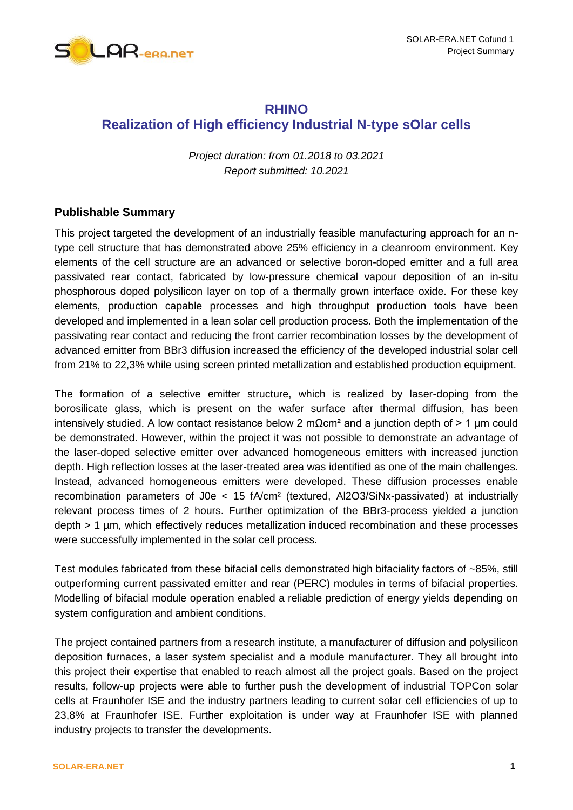

## **RHINO Realization of High efficiency Industrial N-type sOlar cells**

*Project duration: from 01.2018 to 03.2021 Report submitted: 10.2021*

## **Publishable Summary**

This project targeted the development of an industrially feasible manufacturing approach for an ntype cell structure that has demonstrated above 25% efficiency in a cleanroom environment. Key elements of the cell structure are an advanced or selective boron-doped emitter and a full area passivated rear contact, fabricated by low-pressure chemical vapour deposition of an in-situ phosphorous doped polysilicon layer on top of a thermally grown interface oxide. For these key elements, production capable processes and high throughput production tools have been developed and implemented in a lean solar cell production process. Both the implementation of the passivating rear contact and reducing the front carrier recombination losses by the development of advanced emitter from BBr3 diffusion increased the efficiency of the developed industrial solar cell from 21% to 22,3% while using screen printed metallization and established production equipment.

The formation of a selective emitter structure, which is realized by laser-doping from the borosilicate glass, which is present on the wafer surface after thermal diffusion, has been intensively studied. A low contact resistance below 2 mΩcm<sup>2</sup> and a junction depth of > 1 µm could be demonstrated. However, within the project it was not possible to demonstrate an advantage of the laser-doped selective emitter over advanced homogeneous emitters with increased junction depth. High reflection losses at the laser-treated area was identified as one of the main challenges. Instead, advanced homogeneous emitters were developed. These diffusion processes enable recombination parameters of J0e < 15 fA/cm² (textured, Al2O3/SiNx-passivated) at industrially relevant process times of 2 hours. Further optimization of the BBr3-process yielded a junction depth > 1 µm, which effectively reduces metallization induced recombination and these processes were successfully implemented in the solar cell process.

Test modules fabricated from these bifacial cells demonstrated high bifaciality factors of ~85%, still outperforming current passivated emitter and rear (PERC) modules in terms of bifacial properties. Modelling of bifacial module operation enabled a reliable prediction of energy yields depending on system configuration and ambient conditions.

The project contained partners from a research institute, a manufacturer of diffusion and polysilicon deposition furnaces, a laser system specialist and a module manufacturer. They all brought into this project their expertise that enabled to reach almost all the project goals. Based on the project results, follow-up projects were able to further push the development of industrial TOPCon solar cells at Fraunhofer ISE and the industry partners leading to current solar cell efficiencies of up to 23,8% at Fraunhofer ISE. Further exploitation is under way at Fraunhofer ISE with planned industry projects to transfer the developments.